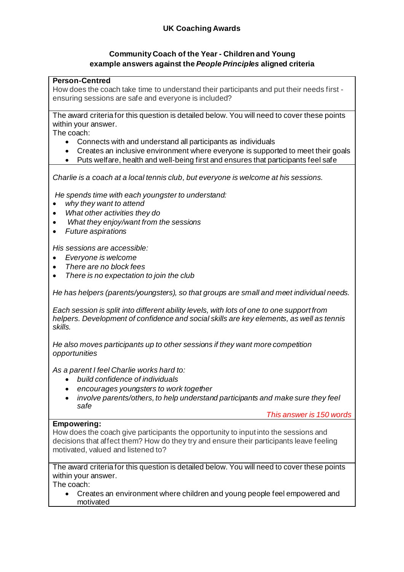# **UK Coaching Awards**

# **Community Coach of the Year - Children and Young example answers against the** *People Principles* **aligned criteria**

### **Person-Centred**

How does the coach take time to understand their participants and put their needs first ensuring sessions are safe and everyone is included?

The award criteria for this question is detailed below. You will need to cover these points within your answer.

The coach:

- Connects with and understand all participants as individuals
- Creates an inclusive environment where everyone is supported to meet their goals
- Puts welfare, health and well-being first and ensures that participants feel safe

*Charlie is a coach at a local tennis club, but everyone is welcome at his sessions.*

*He spends time with each youngster to understand:*

- *why they want to attend*
- *What other activities they do*
- *What they enjoy/want from the sessions*
- *Future aspirations*

*His sessions are accessible:*

- *Everyone is welcome*
- *There are no block fees*
- *There is no expectation to join the club*

*He has helpers (parents/youngsters), so that groups are small and meet individual needs.* 

*Each session is split into different ability levels, with lots of one to one support from helpers. Development of confidence and social skills are key elements, as well as tennis skills.* 

*He also moves participants up to other sessions if they want more competition opportunities* 

*As a parent I feel Charlie works hard to:*

- *build confidence of individuals*
- *encourages youngsters to work together*
- *involve parents/others, to help understand participants and make sure they feel safe*

*This answer is 150 words*

#### **Empowering:**

How does the coach give participants the opportunity to input into the sessions and decisions that affect them? How do they try and ensure their participants leave feeling motivated, valued and listened to?

The award criteria for this question is detailed below. You will need to cover these points within your answer.

The coach:

• Creates an environment where children and young people feel empowered and motivated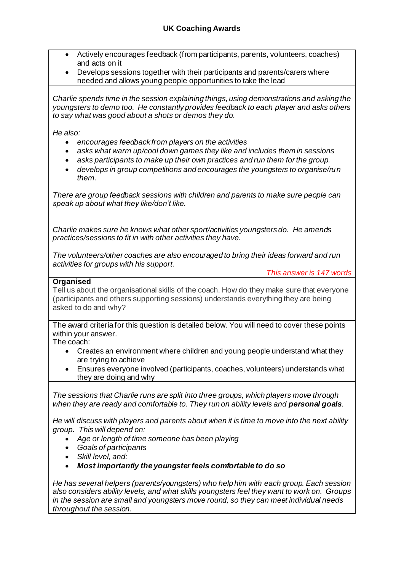- Actively encourages feedback (from participants, parents, volunteers, coaches) and acts on it
- Develops sessions together with their participants and parents/carers where needed and allows young people opportunities to take the lead

*Charlie spends time in the session explaining things, using demonstrations and asking the youngsters to demo too. He constantly provides feedback to each player and asks others to say what was good about a shots or demos they do.*

*He also:*

- *encourages feedback from players on the activities*
- *asks what warm up/cool down games they like and includes them in sessions*
- *asks participants to make up their own practices and run them for the group.*
- *develops in group competitions and encourages the youngsters to organise/run them.*

*There are group feedback sessions with children and parents to make sure people can speak up about what they like/don't like.* 

*Charlie makes sure he knows what other sport/activities youngsters do. He amends practices/sessions to fit in with other activities they have.*

*The volunteers/other coaches are also encouraged to bring their ideas forward and run activities for groups with his support.*

*This answer is 147 words*

### **Organised**

Tell us about the organisational skills of the coach. How do they make sure that everyone (participants and others supporting sessions) understands everything they are being asked to do and why?

The award criteria for this question is detailed below. You will need to cover these points within your answer.

The coach:

- Creates an environment where children and young people understand what they are trying to achieve
- Ensures everyone involved (participants, coaches, volunteers) understands what they are doing and why

*The sessions that Charlie runs are split into three groups, which players move through when they are ready and comfortable to. They run on ability levels and personal goals.*

*He will discuss with players and parents about when it is time to move into the next ability group. This will depend on:*

- *Age or length of time someone has been playing*
- *Goals of participants*
- *Skill level, and:*
- *Most importantly the youngster feels comfortable to do so*

*He has several helpers (parents/youngsters) who help him with each group. Each session also considers ability levels, and what skills youngsters feel they want to work on. Groups in the session are small and youngsters move round, so they can meet individual needs throughout the session.*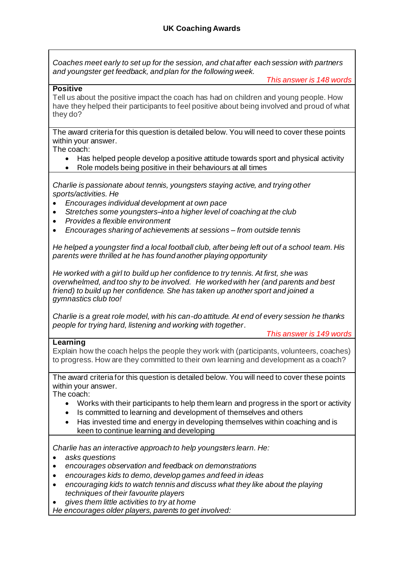*Coaches meet early to set up for the session, and chat after each session with partners and youngster get feedback, and plan for the following week.*

*This answer is 148 words*

### **Positive**

Tell us about the positive impact the coach has had on children and young people. How have they helped their participants to feel positive about being involved and proud of what they do?

The award criteria for this question is detailed below. You will need to cover these points within your answer.

The coach:

- Has helped people develop a positive attitude towards sport and physical activity
- Role models being positive in their behaviours at all times

*Charlie is passionate about tennis, youngsters staying active, and trying other sports/activities. He*

- *Encourages individual development at own pace*
- *Stretches some youngsters–into a higher level of coaching at the club*
- *Provides a flexible environment*
- *Encourages sharing of achievements at sessions – from outside tennis*

*He helped a youngster find a local football club, after being left out of a school team. His parents were thrilled at he has found another playing opportunity*

*He worked with a girl to build up her confidence to try tennis. At first, she was overwhelmed, and too shy to be involved. He worked with her (and parents and best friend) to build up her confidence. She has taken up another sport and joined a gymnastics club too!*

*Charlie is a great role model, with his can-do attitude. At end of every session he thanks people for trying hard, listening and working with together.*

## **Learning**

*This answer is 149 words*

Explain how the coach helps the people they work with (participants, volunteers, coaches) to progress. How are they committed to their own learning and development as a coach?

The award criteria for this question is detailed below. You will need to cover these points within your answer.

The coach:

- Works with their participants to help them learn and progress in the sport or activity
- Is committed to learning and development of themselves and others
- Has invested time and energy in developing themselves within coaching and is keen to continue learning and developing

*Charlie has an interactive approach to help youngsters learn. He:*

- *asks questions*
- *encourages observation and feedback on demonstrations*
- *encourages kids to demo, develop games and feed in ideas*
- *encouraging kids to watch tennis and discuss what they like about the playing techniques of their favourite players*
- *gives them little activities to try at home*

*He encourages older players, parents to get involved:*